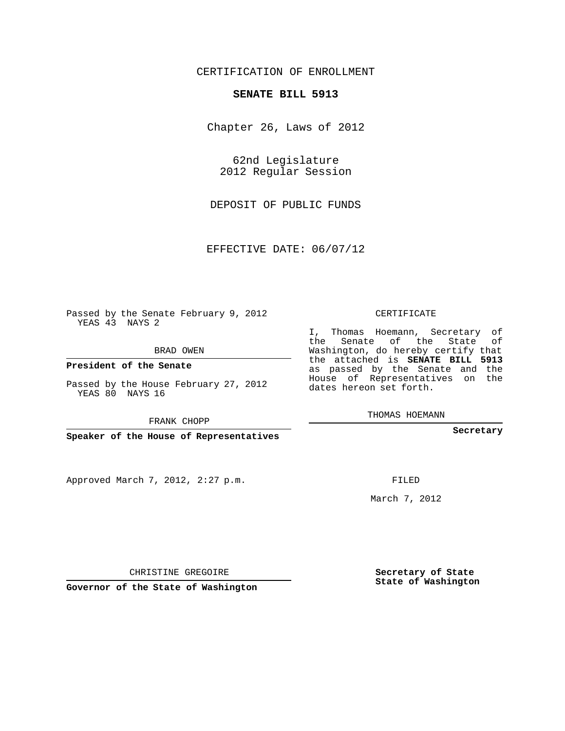## CERTIFICATION OF ENROLLMENT

## **SENATE BILL 5913**

Chapter 26, Laws of 2012

62nd Legislature 2012 Regular Session

DEPOSIT OF PUBLIC FUNDS

EFFECTIVE DATE: 06/07/12

Passed by the Senate February 9, 2012 YEAS 43 NAYS 2

BRAD OWEN

**President of the Senate**

Passed by the House February 27, 2012 YEAS 80 NAYS 16

FRANK CHOPP

**Speaker of the House of Representatives**

Approved March 7, 2012, 2:27 p.m.

CERTIFICATE

I, Thomas Hoemann, Secretary of the Senate of the State of Washington, do hereby certify that the attached is **SENATE BILL 5913** as passed by the Senate and the House of Representatives on the dates hereon set forth.

THOMAS HOEMANN

**Secretary**

FILED

March 7, 2012

**Secretary of State State of Washington**

CHRISTINE GREGOIRE

**Governor of the State of Washington**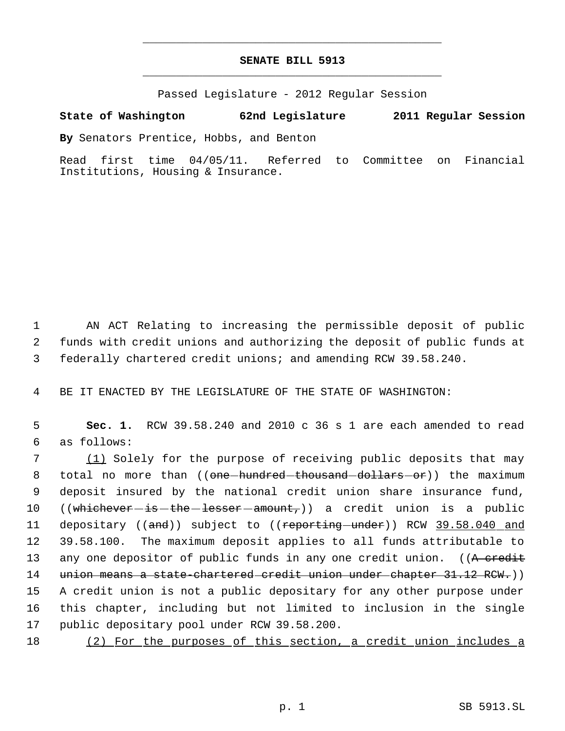## **SENATE BILL 5913** \_\_\_\_\_\_\_\_\_\_\_\_\_\_\_\_\_\_\_\_\_\_\_\_\_\_\_\_\_\_\_\_\_\_\_\_\_\_\_\_\_\_\_\_\_

\_\_\_\_\_\_\_\_\_\_\_\_\_\_\_\_\_\_\_\_\_\_\_\_\_\_\_\_\_\_\_\_\_\_\_\_\_\_\_\_\_\_\_\_\_

Passed Legislature - 2012 Regular Session

## **State of Washington 62nd Legislature 2011 Regular Session**

**By** Senators Prentice, Hobbs, and Benton

Read first time 04/05/11. Referred to Committee on Financial Institutions, Housing & Insurance.

 1 AN ACT Relating to increasing the permissible deposit of public 2 funds with credit unions and authorizing the deposit of public funds at 3 federally chartered credit unions; and amending RCW 39.58.240.

4 BE IT ENACTED BY THE LEGISLATURE OF THE STATE OF WASHINGTON:

 5 **Sec. 1.** RCW 39.58.240 and 2010 c 36 s 1 are each amended to read 6 as follows:

7 (1) Solely for the purpose of receiving public deposits that may 8 total no more than ((<del>one hundred thousand dollars or</del>)) the maximum 9 deposit insured by the national credit union share insurance fund, 10 ((whichever is the lesser amount,)) a credit union is a public 11 depositary ((and)) subject to ((reporting under)) RCW 39.58.040 and 12 39.58.100. The maximum deposit applies to all funds attributable to 13 any one depositor of public funds in any one credit union. ((A credit 14 union means a state-chartered credit union under-chapter 31.12 RCW.)) 15 A credit union is not a public depositary for any other purpose under 16 this chapter, including but not limited to inclusion in the single 17 public depositary pool under RCW 39.58.200.

18 (2) For the purposes of this section, a credit union includes a